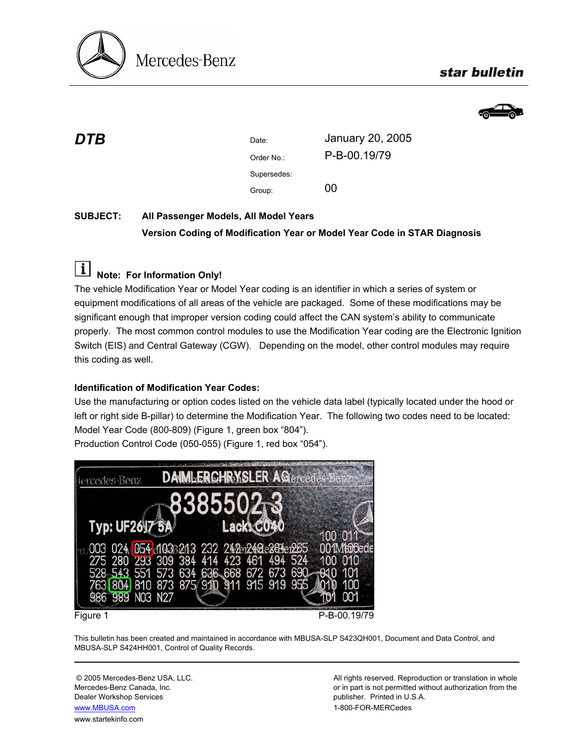

# star bulletin



| DTB | Date:       | January 20, 2005 |
|-----|-------------|------------------|
|     | Order No.:  | P-B-00.19/79     |
|     | Supersedes: |                  |
|     | Group:      | 00               |

## **SUBJECT: All Passenger Models, All Model Years Version Coding of Modification Year or Model Year Code in STAR Diagnosis**

# **Note: For Information Only!**

The vehicle Modification Year or Model Year coding is an identifier in which a series of system or equipment modifications of all areas of the vehicle are packaged. Some of these modifications may be significant enough that improper version coding could affect the CAN system's ability to communicate properly. The most common control modules to use the Modification Year coding are the Electronic Ignition Switch (EIS) and Central Gateway (CGW). Depending on the model, other control modules may require this coding as well.

## **Identification of Modification Year Codes:**

Use the manufacturing or option codes listed on the vehicle data label (typically located under the hood or left or right side B-pillar) to determine the Modification Year. The following two codes need to be located: Model Year Code (800-809) (Figure 1, green box "804").

Production Control Code (050-055) (Figure 1, red box "054").



This bulletin has been created and maintained in accordance with MBUSA-SLP S423QH001, Document and Data Control, and MBUSA-SLP S424HH001, Control of Quality Records.

Dealer Workshop Services publisher. Printed in U.S.A. www.MBUSA.com 1-800-FOR-MERCedes www.startekinfo.com

© 2005 Mercedes-Benz USA, LLC. All rights reserved. Reproduction or translation in whole Mercedes-Benz Canada, Inc. **or in part is not permitted without authorization from the** or in part is not permitted without authorization from the